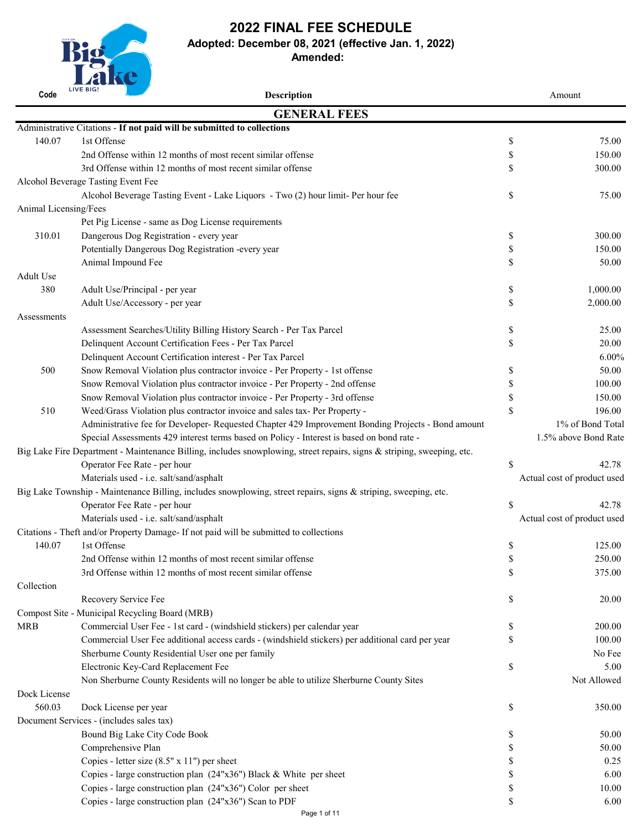| Code                  | LIVE BIG!<br><b>Description</b>                                                                                        |               | Amount                      |
|-----------------------|------------------------------------------------------------------------------------------------------------------------|---------------|-----------------------------|
|                       | <b>GENERAL FEES</b>                                                                                                    |               |                             |
|                       | Administrative Citations - If not paid will be submitted to collections                                                |               |                             |
| 140.07                | 1st Offense                                                                                                            | \$            | 75.00                       |
|                       | 2nd Offense within 12 months of most recent similar offense                                                            | \$            | 150.00                      |
|                       | 3rd Offense within 12 months of most recent similar offense                                                            | \$            | 300.00                      |
|                       | <b>Alcohol Beverage Tasting Event Fee</b>                                                                              |               |                             |
|                       | Alcohol Beverage Tasting Event - Lake Liquors - Two (2) hour limit- Per hour fee                                       | \$            | 75.00                       |
| Animal Licensing/Fees |                                                                                                                        |               |                             |
|                       | Pet Pig License - same as Dog License requirements                                                                     |               |                             |
| 310.01                | Dangerous Dog Registration - every year                                                                                | \$            | 300.00                      |
|                       | Potentially Dangerous Dog Registration -every year                                                                     | \$            | 150.00                      |
|                       | Animal Impound Fee                                                                                                     | \$            | 50.00                       |
| Adult Use             |                                                                                                                        |               |                             |
| 380                   | Adult Use/Principal - per year                                                                                         | \$            | 1,000.00                    |
|                       | Adult Use/Accessory - per year                                                                                         | $\mathcal{S}$ | 2,000.00                    |
| Assessments           |                                                                                                                        |               |                             |
|                       | Assessment Searches/Utility Billing History Search - Per Tax Parcel                                                    | \$            | 25.00                       |
|                       | Delinquent Account Certification Fees - Per Tax Parcel                                                                 | $\mathcal{S}$ | 20.00                       |
|                       | Delinquent Account Certification interest - Per Tax Parcel                                                             |               | $6.00\%$                    |
| 500                   | Snow Removal Violation plus contractor invoice - Per Property - 1st offense                                            |               | 50.00                       |
|                       | Snow Removal Violation plus contractor invoice - Per Property - 2nd offense                                            |               | 100.00                      |
|                       | Snow Removal Violation plus contractor invoice - Per Property - 3rd offense                                            |               | 150.00                      |
| 510                   | Weed/Grass Violation plus contractor invoice and sales tax- Per Property -                                             | \$            | 196.00                      |
|                       | Administrative fee for Developer- Requested Chapter 429 Improvement Bonding Projects - Bond amount                     |               | 1% of Bond Total            |
|                       | Special Assessments 429 interest terms based on Policy - Interest is based on bond rate -                              |               | 1.5% above Bond Rate        |
|                       | Big Lake Fire Department - Maintenance Billing, includes snowplowing, street repairs, signs & striping, sweeping, etc. |               |                             |
|                       | Operator Fee Rate - per hour                                                                                           | \$            | 42.78                       |
|                       | Materials used - i.e. salt/sand/asphalt                                                                                |               | Actual cost of product used |
|                       | Big Lake Township - Maintenance Billing, includes snowplowing, street repairs, signs & striping, sweeping, etc.        |               |                             |
|                       | Operator Fee Rate - per hour                                                                                           | \$            | 42.78                       |
|                       | Materials used - i.e. salt/sand/asphalt                                                                                |               | Actual cost of product used |
|                       | Citations - Theft and/or Property Damage- If not paid will be submitted to collections                                 |               |                             |
| 140.07                | 1st Offense                                                                                                            |               | 125.00                      |
|                       | 2nd Offense within 12 months of most recent similar offense                                                            |               | 250.00                      |
|                       | 3rd Offense within 12 months of most recent similar offense                                                            | $\mathbb{S}$  | 375.00                      |
| Collection            |                                                                                                                        |               |                             |
|                       | Recovery Service Fee                                                                                                   | \$            | 20.00                       |
|                       | Compost Site Municipal Becycling Board (MDR)                                                                           |               |                             |

|              | Compost Site - Municipal Recycling Board (MRB)                                                   |    |             |
|--------------|--------------------------------------------------------------------------------------------------|----|-------------|
| <b>MRB</b>   | Commercial User Fee - 1st card - (windshield stickers) per calendar year                         | ۰Δ | 200.00      |
|              | Commercial User Fee additional access cards - (windshield stickers) per additional card per year |    | 100.00      |
|              | Sherburne County Residential User one per family                                                 |    | No Fee      |
|              | Electronic Key-Card Replacement Fee                                                              | \$ | 5.00        |
|              | Non Sherburne County Residents will no longer be able to utilize Sherburne County Sites          |    | Not Allowed |
| Dock License |                                                                                                  |    |             |
| 560.03       | Dock License per year                                                                            | \$ | 350.00      |
|              | Document Services - (includes sales tax)                                                         |    |             |
|              | Bound Big Lake City Code Book                                                                    | J) | 50.00       |
|              | Comprehensive Plan                                                                               |    | 50.00       |
|              | Copies - letter size $(8.5" \times 11")$ per sheet                                               |    | 0.25        |
|              | Copies - large construction plan $(24"x36")$ Black & White per sheet                             |    | 6.00        |
|              | Copies - large construction plan $(24"x36")$ Color per sheet                                     |    | 10.00       |
|              | Copies - large construction plan $(24"x36")$ Scan to PDF                                         | ۰D | 6.00        |
|              | Page 1 of 11                                                                                     |    |             |



**Adopted: December 08, 2021 (effective Jan. 1, 2022)**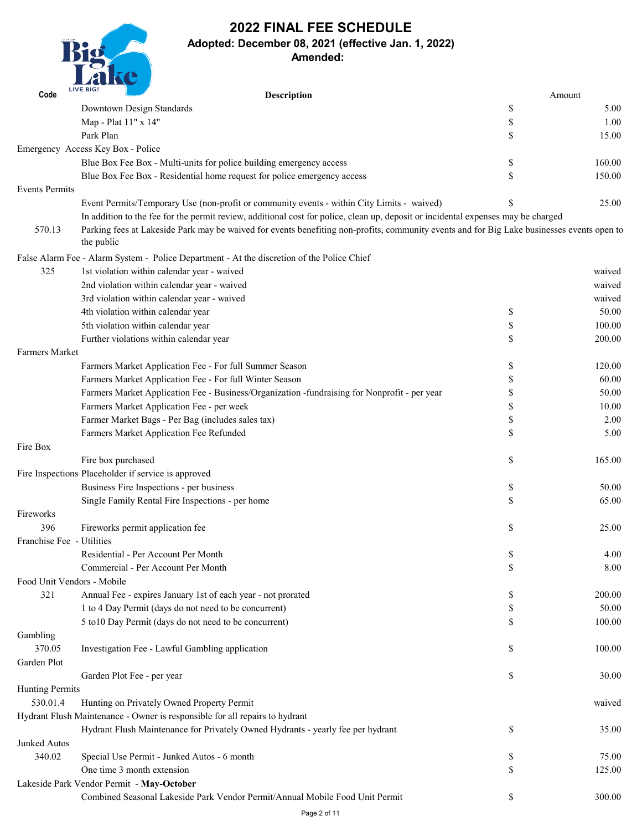

# **2022 FINAL FEE SCHEDULE Adopted: December 08, 2021 (effective Jan. 1, 2022) Amended:**

| Code                      | <b>LIVE BIG!</b><br><b>Description</b>                                                                                                                   | Amount       |
|---------------------------|----------------------------------------------------------------------------------------------------------------------------------------------------------|--------------|
|                           | Downtown Design Standards                                                                                                                                | \$<br>5.00   |
|                           | Map - Plat 11" x 14"                                                                                                                                     | \$<br>1.00   |
|                           | Park Plan                                                                                                                                                | 15.00        |
|                           | Emergency Access Key Box - Police                                                                                                                        |              |
|                           | Blue Box Fee Box - Multi-units for police building emergency access                                                                                      | \$<br>160.00 |
|                           | Blue Box Fee Box - Residential home request for police emergency access                                                                                  | \$<br>150.00 |
| <b>Events Permits</b>     |                                                                                                                                                          |              |
|                           | Event Permits/Temporary Use (non-profit or community events - within City Limits - waived)                                                               | 25.00        |
|                           | In addition to the fee for the permit review, additional cost for police, clean up, deposit or incidental expenses may be charged                        |              |
| 570.13                    | Parking fees at Lakeside Park may be waived for events benefiting non-profits, community events and for Big Lake businesses events open to<br>the public |              |
|                           | False Alarm Fee - Alarm System - Police Department - At the discretion of the Police Chief                                                               |              |
| 325                       | 1st violation within calendar year - waived                                                                                                              | waived       |
|                           | 2nd violation within calendar year - waived                                                                                                              | waived       |
|                           | 3rd violation within calendar year - waived                                                                                                              | waived       |
|                           | 4th violation within calendar year                                                                                                                       | \$<br>50.00  |
|                           | 5th violation within calendar year                                                                                                                       | \$<br>100.00 |
|                           | Further violations within calendar year                                                                                                                  | 200.00       |
| <b>Farmers Market</b>     |                                                                                                                                                          |              |
|                           | Farmers Market Application Fee - For full Summer Season                                                                                                  | \$<br>120.00 |
|                           | Farmers Market Application Fee - For full Winter Season                                                                                                  | 60.00        |
|                           | Farmers Market Application Fee - Business/Organization -fundraising for Nonprofit - per year                                                             | 50.00        |
|                           | Farmers Market Application Fee - per week                                                                                                                | 10.00        |
|                           | Farmer Market Bags - Per Bag (includes sales tax)                                                                                                        | 2.00         |
|                           | <b>Farmers Market Application Fee Refunded</b>                                                                                                           | 5.00         |
| Fire Box                  |                                                                                                                                                          |              |
|                           | Fire box purchased                                                                                                                                       | \$<br>165.00 |
|                           | Fire Inspections Placeholder if service is approved                                                                                                      |              |
|                           | Business Fire Inspections - per business                                                                                                                 | \$<br>50.00  |
|                           | Single Family Rental Fire Inspections - per home                                                                                                         | 65.00        |
| Fireworks                 |                                                                                                                                                          |              |
| 396                       | Fireworks permit application fee                                                                                                                         | \$<br>25.00  |
| Franchise Fee - Utilities |                                                                                                                                                          |              |
|                           | Residential - Per Account Per Month                                                                                                                      | \$<br>4.00   |
|                           | Commercial - Per Account Per Month                                                                                                                       | 8.00         |
|                           | Food Unit Vendors - Mobile                                                                                                                               |              |
| 321                       | Annual Fee - expires January 1st of each year - not prorated                                                                                             | 200.00       |
|                           | 1 to 4 Day Permit (days do not need to be concurrent)                                                                                                    | 50.00        |

|                        | 5 to 10 Day Permit (days do not need to be concurrent)                          | \$            | 100.00 |
|------------------------|---------------------------------------------------------------------------------|---------------|--------|
| Gambling               |                                                                                 |               |        |
| 370.05                 | Investigation Fee - Lawful Gambling application                                 | $\mathbb{S}$  | 100.00 |
| Garden Plot            |                                                                                 |               |        |
|                        | Garden Plot Fee - per year                                                      | $\mathbb{S}$  | 30.00  |
| <b>Hunting Permits</b> |                                                                                 |               |        |
| 530.01.4               | Hunting on Privately Owned Property Permit                                      |               | waived |
|                        | Hydrant Flush Maintenance - Owner is responsible for all repairs to hydrant     |               |        |
|                        | Hydrant Flush Maintenance for Privately Owned Hydrants - yearly fee per hydrant | $\mathbb{S}$  | 35.00  |
| <b>Junked Autos</b>    |                                                                                 |               |        |
| 340.02                 | Special Use Permit - Junked Autos - 6 month                                     | $\mathbb{S}$  | 75.00  |
|                        | One time 3 month extension                                                      | $\mathcal{S}$ | 125.00 |
|                        | Lakeside Park Vendor Permit - May-October                                       |               |        |
|                        | Combined Seasonal Lakeside Park Vendor Permit/Annual Mobile Food Unit Permit    | $\mathbb{S}$  | 300.00 |
|                        | Page 2 of 11                                                                    |               |        |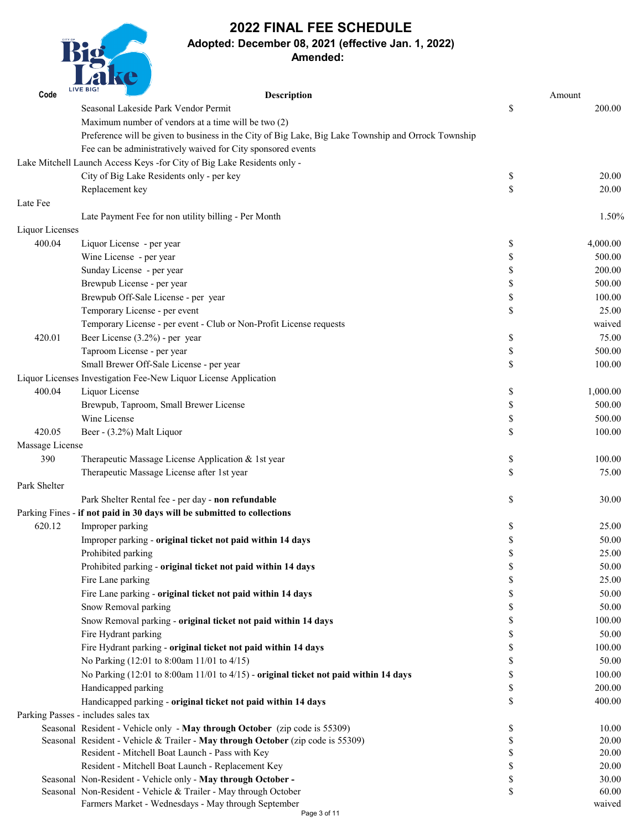

### **Adopted: December 08, 2021 (effective Jan. 1, 2022)**

| Code            | <b>LIVE BIG!</b>  | <b>Description</b>                                                                                  |                           | Amount   |
|-----------------|-------------------|-----------------------------------------------------------------------------------------------------|---------------------------|----------|
|                 |                   | Seasonal Lakeside Park Vendor Permit                                                                | \$                        | 200.00   |
|                 |                   | Maximum number of vendors at a time will be two (2)                                                 |                           |          |
|                 |                   | Preference will be given to business in the City of Big Lake, Big Lake Township and Orrock Township |                           |          |
|                 |                   | Fee can be administratively waived for City sponsored events                                        |                           |          |
|                 |                   | Lake Mitchell Launch Access Keys - for City of Big Lake Residents only -                            |                           |          |
|                 |                   | City of Big Lake Residents only - per key                                                           | \$                        | 20.00    |
|                 | Replacement key   |                                                                                                     | \$                        | 20.00    |
| Late Fee        |                   |                                                                                                     |                           |          |
|                 |                   | Late Payment Fee for non utility billing - Per Month                                                |                           | 1.50%    |
| Liquor Licenses |                   |                                                                                                     |                           |          |
| 400.04          |                   | Liquor License - per year                                                                           | \$                        | 4,000.00 |
|                 |                   | Wine License - per year                                                                             | $\boldsymbol{\mathsf{S}}$ | 500.00   |
|                 |                   | Sunday License - per year                                                                           | \$                        | 200.00   |
|                 |                   | Brewpub License - per year                                                                          | \$                        | 500.00   |
|                 |                   | Brewpub Off-Sale License - per year                                                                 | \$                        | 100.00   |
|                 |                   | Temporary License - per event                                                                       | \$                        | 25.00    |
|                 |                   | Temporary License - per event - Club or Non-Profit License requests                                 |                           | waived   |
| 420.01          |                   | Beer License $(3.2\%)$ - per year                                                                   | \$                        | 75.00    |
|                 |                   | Taproom License - per year                                                                          | \$                        | 500.00   |
|                 |                   | Small Brewer Off-Sale License - per year                                                            | $\boldsymbol{\mathsf{S}}$ | 100.00   |
|                 |                   | Liquor Licenses Investigation Fee-New Liquor License Application                                    |                           |          |
| 400.04          | Liquor License    |                                                                                                     | \$                        | 1,000.00 |
|                 |                   | Brewpub, Taproom, Small Brewer License                                                              | \$                        | 500.00   |
|                 | Wine License      |                                                                                                     | \$                        | 500.00   |
| 420.05          |                   | Beer - (3.2%) Malt Liquor                                                                           | \$                        | 100.00   |
| Massage License |                   |                                                                                                     |                           |          |
| 390             |                   | Therapeutic Massage License Application & 1st year                                                  | \$                        | 100.00   |
|                 |                   | Therapeutic Massage License after 1st year                                                          | \$                        | 75.00    |
| Park Shelter    |                   |                                                                                                     |                           |          |
|                 |                   | Park Shelter Rental fee - per day - non refundable                                                  | \$                        | 30.00    |
|                 |                   | Parking Fines - if not paid in 30 days will be submitted to collections                             |                           |          |
| 620.12          | Improper parking  |                                                                                                     | \$                        | 25.00    |
|                 |                   | Improper parking - original ticket not paid within 14 days                                          | \$                        | 50.00    |
|                 |                   | Prohibited parking                                                                                  |                           | 25.00    |
|                 |                   | Prohibited parking - original ticket not paid within 14 days                                        |                           | 50.00    |
|                 | Fire Lane parking |                                                                                                     | S                         | 25.00    |
|                 |                   | Fire Lane parking - original ticket not paid within 14 days                                         | \$                        | 50.00    |
|                 |                   | Snow Removal parking                                                                                | \$                        | 50.00    |

| Snow Removal parking - original ticket not paid within 14 days                       | 100.00 |
|--------------------------------------------------------------------------------------|--------|
| Fire Hydrant parking                                                                 | 50.00  |
| Fire Hydrant parking - original ticket not paid within 14 days                       | 100.00 |
| No Parking $(12.01 \text{ to } 8.00 \text{ am } 11/01 \text{ to } 4/15)$             | 50.00  |
| No Parking (12:01 to 8:00am 11/01 to 4/15) - original ticket not paid within 14 days | 100.00 |
| Handicapped parking                                                                  | 200.00 |
| Handicapped parking - original ticket not paid within 14 days                        | 400.00 |
| Parking Passes - includes sales tax                                                  |        |
| Seasonal Resident - Vehicle only - May through October (zip code is 55309)           | 10.00  |
| Seasonal Resident - Vehicle & Trailer - May through October (zip code is 55309)      | 20.00  |
| Resident - Mitchell Boat Launch - Pass with Key                                      | 20.00  |
| Resident - Mitchell Boat Launch - Replacement Key                                    | 20.00  |
| Seasonal Non-Resident - Vehicle only - May through October -                         | 30.00  |
| Seasonal Non-Resident - Vehicle & Trailer - May through October                      | 60.00  |
| Farmers Market - Wednesdays - May through September                                  | waived |
| Page 3 of 11                                                                         |        |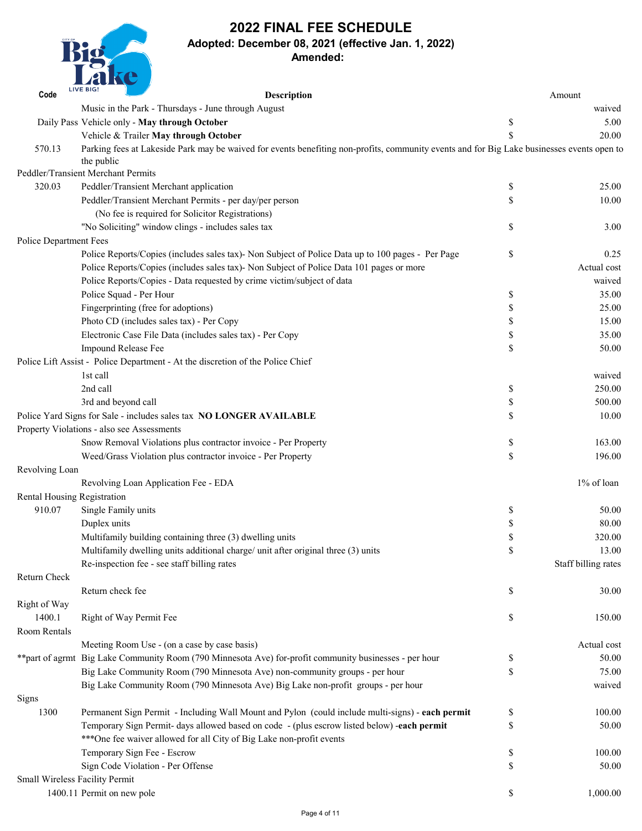

## **Adopted: December 08, 2021 (effective Jan. 1, 2022)**

| Code                               | <b>LIVE BIG!</b><br><b>Description</b>                                                                                                                   |                           | Amount              |
|------------------------------------|----------------------------------------------------------------------------------------------------------------------------------------------------------|---------------------------|---------------------|
|                                    | Music in the Park - Thursdays - June through August                                                                                                      |                           | waived              |
|                                    | Daily Pass Vehicle only - May through October                                                                                                            | \$                        | 5.00                |
|                                    | Vehicle & Trailer May through October                                                                                                                    |                           | 20.00               |
| 570.13                             | Parking fees at Lakeside Park may be waived for events benefiting non-profits, community events and for Big Lake businesses events open to<br>the public |                           |                     |
|                                    | <b>Peddler/Transient Merchant Permits</b>                                                                                                                |                           |                     |
| 320.03                             | Peddler/Transient Merchant application                                                                                                                   | \$                        | 25.00               |
|                                    | Peddler/Transient Merchant Permits - per day/per person                                                                                                  |                           | 10.00               |
|                                    | (No fee is required for Solicitor Registrations)                                                                                                         |                           |                     |
|                                    | "No Soliciting" window clings - includes sales tax                                                                                                       | \$                        | 3.00                |
| <b>Police Department Fees</b>      |                                                                                                                                                          |                           |                     |
|                                    | Police Reports/Copies (includes sales tax)- Non Subject of Police Data up to 100 pages - Per Page                                                        | $\boldsymbol{\mathsf{S}}$ | 0.25                |
|                                    | Police Reports/Copies (includes sales tax)- Non Subject of Police Data 101 pages or more                                                                 |                           | Actual cost         |
|                                    | Police Reports/Copies - Data requested by crime victim/subject of data                                                                                   |                           | waived              |
|                                    | Police Squad - Per Hour                                                                                                                                  | \$                        | 35.00               |
|                                    | Fingerprinting (free for adoptions)                                                                                                                      |                           | 25.00               |
|                                    | Photo CD (includes sales tax) - Per Copy                                                                                                                 |                           | 15.00               |
|                                    | Electronic Case File Data (includes sales tax) - Per Copy                                                                                                |                           | 35.00               |
|                                    | <b>Impound Release Fee</b>                                                                                                                               |                           | 50.00               |
|                                    | Police Lift Assist - Police Department - At the discretion of the Police Chief                                                                           |                           |                     |
|                                    | 1st call                                                                                                                                                 |                           | waived              |
|                                    | 2nd call                                                                                                                                                 | \$                        | 250.00              |
|                                    | 3rd and beyond call                                                                                                                                      |                           | 500.00              |
|                                    | Police Yard Signs for Sale - includes sales tax NO LONGER AVAILABLE                                                                                      |                           | 10.00               |
|                                    | Property Violations - also see Assessments                                                                                                               |                           |                     |
|                                    | Snow Removal Violations plus contractor invoice - Per Property                                                                                           | \$                        | 163.00              |
|                                    | Weed/Grass Violation plus contractor invoice - Per Property                                                                                              | $\mathcal{S}$             | 196.00              |
| Revolving Loan                     |                                                                                                                                                          |                           |                     |
|                                    | Revolving Loan Application Fee - EDA                                                                                                                     |                           | $1\%$ of loan       |
| <b>Rental Housing Registration</b> |                                                                                                                                                          |                           |                     |
| 910.07                             | Single Family units                                                                                                                                      | \$                        | 50.00               |
|                                    | Duplex units                                                                                                                                             |                           | 80.00               |
|                                    | Multifamily building containing three (3) dwelling units                                                                                                 |                           | 320.00              |
|                                    | Multifamily dwelling units additional charge/ unit after original three (3) units                                                                        | \$                        | 13.00               |
|                                    | Re-inspection fee - see staff billing rates                                                                                                              |                           | Staff billing rates |
| <b>Return Check</b>                |                                                                                                                                                          |                           |                     |
|                                    | Return check fee                                                                                                                                         | \$                        | 30.00               |
| Right of Way                       |                                                                                                                                                          |                           |                     |

| 1400.1                                | <b>Right of Way Permit Fee</b>                                                                          | J.           | 150.00      |
|---------------------------------------|---------------------------------------------------------------------------------------------------------|--------------|-------------|
| Room Rentals                          |                                                                                                         |              |             |
|                                       | Meeting Room Use - (on a case by case basis)                                                            |              | Actual cost |
|                                       | ** part of agrmt Big Lake Community Room (790 Minnesota Ave) for-profit community businesses - per hour | ъĐ           | 50.00       |
|                                       | Big Lake Community Room (790 Minnesota Ave) non-community groups - per hour                             | D            | 75.00       |
|                                       | Big Lake Community Room (790 Minnesota Ave) Big Lake non-profit groups - per hour                       |              | waived      |
| Signs                                 |                                                                                                         |              |             |
| 1300                                  | Permanent Sign Permit - Including Wall Mount and Pylon (could include multi-signs) - each permit        | $\mathbb{S}$ | 100.00      |
|                                       | Temporary Sign Permit- days allowed based on code - (plus escrow listed below) -each permit             | ۰D           | 50.00       |
|                                       | ***One fee waiver allowed for all City of Big Lake non-profit events                                    |              |             |
|                                       | Temporary Sign Fee - Escrow                                                                             | D            | 100.00      |
|                                       | Sign Code Violation - Per Offense                                                                       | $\mathbb{S}$ | 50.00       |
| <b>Small Wireless Facility Permit</b> |                                                                                                         |              |             |
|                                       | 1400.11 Permit on new pole                                                                              | $\mathbb{S}$ | 1,000.00    |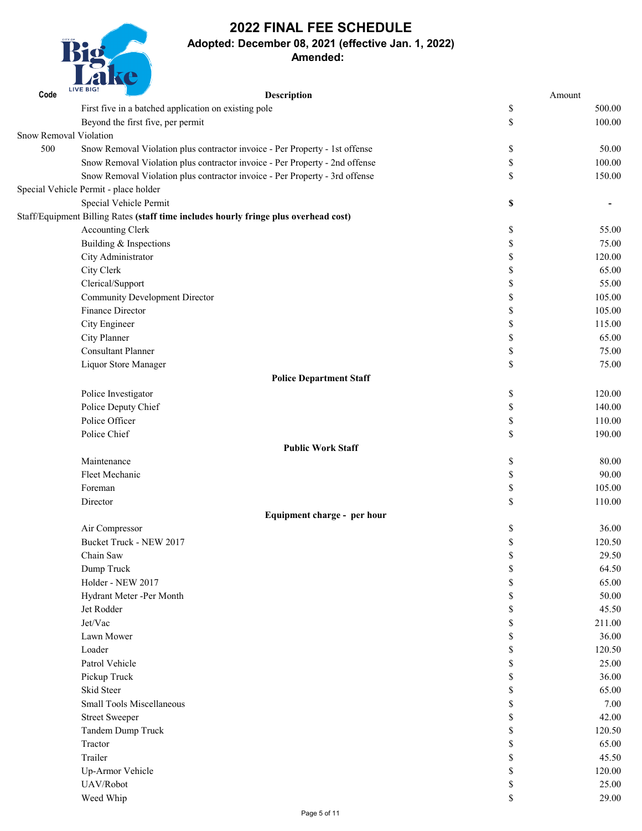

## **Adopted: December 08, 2021 (effective Jan. 1, 2022)**

| Code                          | <b>LIVE BIG!</b><br><b>Description</b>                                               |    | Amount |
|-------------------------------|--------------------------------------------------------------------------------------|----|--------|
|                               | First five in a batched application on existing pole                                 | \$ | 500.00 |
|                               | Beyond the first five, per permit                                                    | \$ | 100.00 |
| <b>Snow Removal Violation</b> |                                                                                      |    |        |
| 500                           | Snow Removal Violation plus contractor invoice - Per Property - 1st offense          | \$ | 50.00  |
|                               | Snow Removal Violation plus contractor invoice - Per Property - 2nd offense          | \$ | 100.00 |
|                               | Snow Removal Violation plus contractor invoice - Per Property - 3rd offense          | \$ | 150.00 |
|                               | Special Vehicle Permit - place holder                                                |    |        |
|                               | Special Vehicle Permit                                                               | \$ |        |
|                               | Staff/Equipment Billing Rates (staff time includes hourly fringe plus overhead cost) |    |        |
|                               | <b>Accounting Clerk</b>                                                              | \$ | 55.00  |
|                               | Building & Inspections                                                               | \$ | 75.00  |
|                               | City Administrator                                                                   | \$ | 120.00 |
|                               | City Clerk                                                                           | \$ | 65.00  |
|                               | Clerical/Support                                                                     | S  | 55.00  |
|                               | <b>Community Development Director</b>                                                | \$ | 105.00 |
|                               | <b>Finance Director</b>                                                              | \$ | 105.00 |
|                               | City Engineer                                                                        | \$ | 115.00 |
|                               | City Planner                                                                         | \$ | 65.00  |
|                               | <b>Consultant Planner</b>                                                            | \$ | 75.00  |
|                               | Liquor Store Manager                                                                 | \$ | 75.00  |
|                               | <b>Police Department Staff</b>                                                       |    |        |
|                               | Police Investigator                                                                  | \$ | 120.00 |
|                               | Police Deputy Chief                                                                  |    | 140.00 |
|                               | Police Officer                                                                       | \$ | 110.00 |
|                               | Police Chief                                                                         | \$ | 190.00 |
|                               | <b>Public Work Staff</b>                                                             |    |        |
|                               | Maintenance                                                                          | \$ | 80.00  |
|                               | Fleet Mechanic                                                                       | \$ | 90.00  |
|                               | Foreman                                                                              | \$ | 105.00 |
|                               | Director                                                                             | \$ | 110.00 |
|                               | Equipment charge - per hour                                                          |    |        |
|                               | Air Compressor                                                                       | \$ | 36.00  |
|                               | Bucket Truck - NEW 2017                                                              |    | 120.50 |
|                               | Chain Saw                                                                            | \$ | 29.50  |
|                               | Dump Truck                                                                           |    | 64.50  |
|                               | Holder - NEW 2017                                                                    | J) | 65.00  |
|                               | Hydrant Meter -Per Month                                                             |    | 50.00  |
|                               | Jet Rodder                                                                           |    | 45.50  |

| Jet/Vac                          | D  | 211.00 |
|----------------------------------|----|--------|
| Lawn Mower                       | D  | 36.00  |
| Loader                           | D  | 120.50 |
| Patrol Vehicle                   | D  | 25.00  |
| Pickup Truck                     | D  | 36.00  |
| Skid Steer                       | D  | 65.00  |
| <b>Small Tools Miscellaneous</b> | D  | 7.00   |
| <b>Street Sweeper</b>            | A. | 42.00  |
| Tandem Dump Truck                | D  | 120.50 |
| Tractor                          | D  | 65.00  |
| Trailer                          | A. | 45.50  |
| Up-Armor Vehicle                 | \$ | 120.00 |
| UAV/Robot                        | D  | 25.00  |
| Weed Whip                        | Φ  | 29.00  |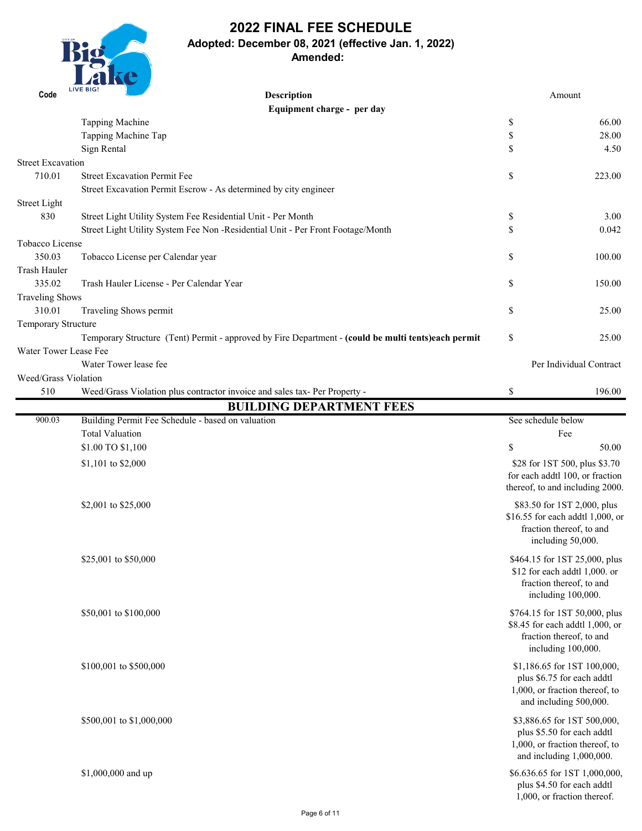

## **2022 FINAL FEE SCHEDULE Adopted: December 08, 2021 (effective Jan. 1, 2022) Amended:**

 $350,001$  to  $3100,000$   $(151,00,000,000)$   $(151,00,000,000)$ \$8.45 for each addtl 1,000, or fraction thereof, to and including 100,000.

\$100,001 to \$500,000 \$1,186.65 for 1ST 100,000, plus \$6.75 for each addtl 1,000, or fraction thereof, to and including 500,000.

 $$500,001$  to \$1,000,000 \$3,886.65 for 1ST 500,000, plus \$5.50 for each addtl 1,000, or fraction thereof, to and including 1,000,000.

\$1,000,000 and up \$6.636.65 for 1ST 1,000,000, plus \$4.50 for each addtl 1,000, or fraction thereof.

| Code                         | <b>LIVE BIG!</b><br><b>Description</b>                                                              |                           | Amount                              |
|------------------------------|-----------------------------------------------------------------------------------------------------|---------------------------|-------------------------------------|
|                              | Equipment charge - per day                                                                          |                           |                                     |
|                              | Tapping Machine                                                                                     | $\boldsymbol{\mathsf{S}}$ | 66.00                               |
|                              | Tapping Machine Tap                                                                                 | $\boldsymbol{\mathsf{S}}$ | 28.00                               |
|                              | Sign Rental                                                                                         | \$                        | 4.50                                |
| <b>Street Excavation</b>     |                                                                                                     |                           |                                     |
| 710.01                       | <b>Street Excavation Permit Fee</b>                                                                 | $\boldsymbol{\mathsf{S}}$ | 223.00                              |
|                              | Street Excavation Permit Escrow - As determined by city engineer                                    |                           |                                     |
| Street Light                 |                                                                                                     |                           |                                     |
| 830                          | Street Light Utility System Fee Residential Unit - Per Month                                        | \$                        | 3.00                                |
|                              | Street Light Utility System Fee Non - Residential Unit - Per Front Footage/Month                    | $\mathcal{S}$             | 0.042                               |
| Tobacco License              |                                                                                                     |                           |                                     |
| 350.03                       | Tobacco License per Calendar year                                                                   | $\boldsymbol{\mathsf{S}}$ | 100.00                              |
| Trash Hauler                 |                                                                                                     |                           |                                     |
| 335.02                       | Trash Hauler License - Per Calendar Year                                                            | \$                        | 150.00                              |
| <b>Traveling Shows</b>       |                                                                                                     |                           |                                     |
| 310.01                       | Traveling Shows permit                                                                              | \$                        | 25.00                               |
| <b>Temporary Structure</b>   |                                                                                                     |                           |                                     |
|                              | Temporary Structure (Tent) Permit - approved by Fire Department - (could be multi tents)each permit | \$                        | 25.00                               |
| <b>Water Tower Lease Fee</b> |                                                                                                     |                           |                                     |
|                              | Water Tower lease fee                                                                               |                           | Per Individual Contract             |
| <b>Weed/Grass Violation</b>  |                                                                                                     |                           |                                     |
| 510                          | Weed/Grass Violation plus contractor invoice and sales tax- Per Property -                          | $\mathbb{S}$              | 196.00                              |
|                              | <b>BUILDING DEPARTMENT FEES</b>                                                                     |                           |                                     |
| 900.03                       | Building Permit Fee Schedule - based on valuation                                                   | See schedule below        |                                     |
|                              | <b>Total Valuation</b>                                                                              |                           | Fee                                 |
|                              | \$1.00 TO \$1,100                                                                                   | \$                        | 50.00                               |
|                              | \$1,101 to \$2,000                                                                                  |                           | \$28 for 1ST 500, plus \$3.70       |
|                              |                                                                                                     |                           | for each addtl 100, or fraction     |
|                              |                                                                                                     |                           | thereof, to and including 2000.     |
|                              | \$2,001 to \$25,000                                                                                 |                           | \$83.50 for 1ST 2,000, plus         |
|                              |                                                                                                     |                           | \$16.55 for each addtl $1,000$ , or |
|                              |                                                                                                     |                           | fraction thereof, to and            |
|                              |                                                                                                     |                           | including 50,000.                   |
|                              | \$25,001 to \$50,000                                                                                |                           | \$464.15 for 1ST 25,000, plus       |
|                              |                                                                                                     |                           | \$12 for each addtl $1,000$ . or    |
|                              |                                                                                                     |                           | fraction thereof, to and            |
|                              |                                                                                                     |                           | including 100,000.                  |
|                              | $$50.001 + 0.01000$                                                                                 |                           | $$764.15$ for $18T.50.000$ plus     |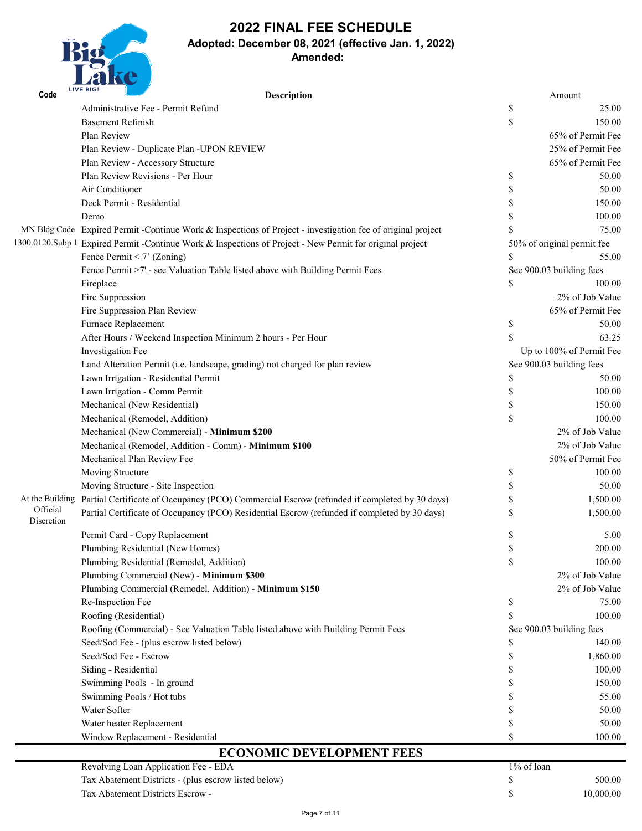

**Adopted: December 08, 2021 (effective Jan. 1, 2022)**

## **Amended:**

| Code                   | <b>LIVE BIG!</b><br><b>Description</b>                                                                       |               | Amount                     |
|------------------------|--------------------------------------------------------------------------------------------------------------|---------------|----------------------------|
|                        | Administrative Fee - Permit Refund                                                                           | \$            | 25.00                      |
|                        | <b>Basement Refinish</b>                                                                                     | \$            | 150.00                     |
|                        | Plan Review                                                                                                  |               | 65% of Permit Fee          |
|                        | Plan Review - Duplicate Plan -UPON REVIEW                                                                    |               | 25% of Permit Fee          |
|                        | Plan Review - Accessory Structure                                                                            |               | 65% of Permit Fee          |
|                        | Plan Review Revisions - Per Hour                                                                             | \$            | 50.00                      |
|                        | Air Conditioner                                                                                              |               | 50.00                      |
|                        | Deck Permit - Residential                                                                                    |               | 150.00                     |
|                        | Demo                                                                                                         |               | 100.00                     |
|                        | MN Bldg Code Expired Permit - Continue Work & Inspections of Project - investigation fee of original project |               | 75.00                      |
|                        | 300.0120. Subp 1 Expired Permit - Continue Work & Inspections of Project - New Permit for original project   |               | 50% of original permit fee |
|                        | Fence Permit < 7' (Zoning)                                                                                   | \$            | 55.00                      |
|                        | Fence Permit >7' - see Valuation Table listed above with Building Permit Fees                                |               | See 900.03 building fees   |
|                        | Fireplace                                                                                                    | \$            | 100.00                     |
|                        | Fire Suppression                                                                                             |               | 2% of Job Value            |
|                        | Fire Suppression Plan Review                                                                                 |               | 65% of Permit Fee          |
|                        | <b>Furnace Replacement</b>                                                                                   | \$            | 50.00                      |
|                        | After Hours / Weekend Inspection Minimum 2 hours - Per Hour                                                  | $\mathcal{S}$ | 63.25                      |
|                        | <b>Investigation Fee</b>                                                                                     |               | Up to 100% of Permit Fee   |
|                        | Land Alteration Permit (i.e. landscape, grading) not charged for plan review                                 |               | See 900.03 building fees   |
|                        | Lawn Irrigation - Residential Permit                                                                         |               | 50.00                      |
|                        | Lawn Irrigation - Comm Permit                                                                                |               | 100.00                     |
|                        | Mechanical (New Residential)                                                                                 |               | 150.00                     |
|                        | Mechanical (Remodel, Addition)                                                                               | \$            | 100.00                     |
|                        | Mechanical (New Commercial) - Minimum \$200                                                                  |               | 2% of Job Value            |
|                        | Mechanical (Remodel, Addition - Comm) - Minimum \$100                                                        |               | 2% of Job Value            |
|                        | Mechanical Plan Review Fee                                                                                   |               | 50% of Permit Fee          |
|                        | Moving Structure                                                                                             | \$            | 100.00                     |
|                        | Moving Structure - Site Inspection                                                                           |               | 50.00                      |
|                        | At the Building Partial Certificate of Occupancy (PCO) Commercial Escrow (refunded if completed by 30 days)  |               | 1,500.00                   |
| Official<br>Discretion | Partial Certificate of Occupancy (PCO) Residential Escrow (refunded if completed by 30 days)                 |               | 1,500.00                   |
|                        | Permit Card - Copy Replacement                                                                               |               | 5.00                       |
|                        | Plumbing Residential (New Homes)                                                                             | \$            | 200.00                     |
|                        | Plumbing Residential (Remodel, Addition)                                                                     | \$            | 100.00                     |
|                        | Plumbing Commercial (New) - Minimum \$300                                                                    |               | 2% of Job Value            |
|                        | Plumbing Commercial (Remodel, Addition) - Minimum \$150                                                      |               | 2% of Job Value            |
|                        | Re-Inspection Fee                                                                                            | \$            | 75.00                      |
|                        | Roofing (Residential)                                                                                        |               | 100.00                     |
|                        | Roofing (Commercial) - See Valuation Table listed above with Building Permit Fees                            |               | See 900.03 building fees   |
|                        | Seed/Sod Fee - (plus escrow listed below)                                                                    |               | 140.00                     |
|                        | Seed/Sod Fee - Escrow                                                                                        |               | 1,860.00                   |
|                        | Siding - Residential                                                                                         |               | 100.00                     |
|                        | Swimming Pools - In ground                                                                                   |               | 150.00                     |
|                        | Swimming Pools / Hot tubs                                                                                    |               | 55.00                      |
|                        | Water Softer                                                                                                 |               | 50.00                      |
|                        | Water heater Replacement                                                                                     |               | 50.00                      |
|                        | Window Replacement - Residential                                                                             |               | 100.00                     |

| Revolving Loan Application Fee - EDA                 | $1\%$ of loan |           |
|------------------------------------------------------|---------------|-----------|
| Tax Abatement Districts - (plus escrow listed below) |               | 500.00    |
| Tax Abatement Districts Escrow -                     |               | 10,000.00 |

# **ECONOMIC DEVELOPMENT FEES**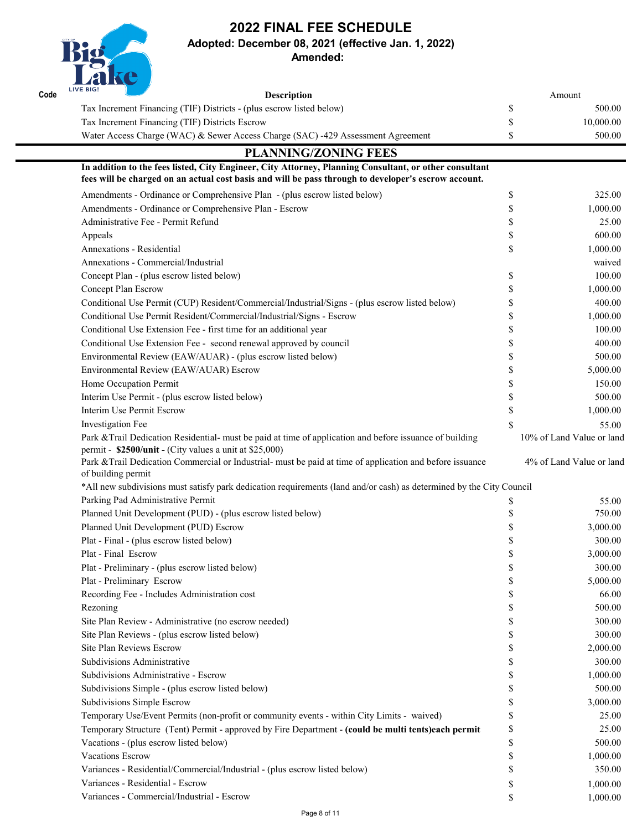

### **Adopted: December 08, 2021 (effective Jan. 1, 2022)**

| Site Plan Review - Administrative (no escrow needed)                                                | 300.00   |
|-----------------------------------------------------------------------------------------------------|----------|
| Site Plan Reviews - (plus escrow listed below)                                                      | 300.00   |
| <b>Site Plan Reviews Escrow</b>                                                                     | 2,000.00 |
| Subdivisions Administrative                                                                         | 300.00   |
| Subdivisions Administrative - Escrow                                                                | 1,000.00 |
| Subdivisions Simple - (plus escrow listed below)                                                    | 500.00   |
| <b>Subdivisions Simple Escrow</b>                                                                   | 3,000.00 |
| Temporary Use/Event Permits (non-profit or community events - within City Limits - waived)          | 25.00    |
| Temporary Structure (Tent) Permit - approved by Fire Department - (could be multi tents)each permit | 25.00    |
| Vacations - (plus escrow listed below)                                                              | 500.00   |
| <b>Vacations Escrow</b>                                                                             | 1,000.00 |
| Variances - Residential/Commercial/Industrial - (plus escrow listed below)                          | 350.00   |
| Variances - Residential - Escrow                                                                    | 1,000.00 |
| Variances - Commercial/Industrial - Escrow                                                          | 1,000.00 |
|                                                                                                     |          |

| Code | <u> Le proponde la part de la part de la part de la part de la part de la part de la part de la part de la part d</u><br><b>LIVE BIG!</b><br><b>Description</b>                                                |    | Amount                    |  |  |
|------|----------------------------------------------------------------------------------------------------------------------------------------------------------------------------------------------------------------|----|---------------------------|--|--|
|      | Tax Increment Financing (TIF) Districts - (plus escrow listed below)                                                                                                                                           | \$ | 500.00                    |  |  |
|      | Tax Increment Financing (TIF) Districts Escrow                                                                                                                                                                 |    | 10,000.00                 |  |  |
|      | Water Access Charge (WAC) & Sewer Access Charge (SAC) -429 Assessment Agreement                                                                                                                                |    | 500.00                    |  |  |
|      | <b>PLANNING/ZONING FEES</b>                                                                                                                                                                                    |    |                           |  |  |
|      | In addition to the fees listed, City Engineer, City Attorney, Planning Consultant, or other consultant<br>fees will be charged on an actual cost basis and will be pass through to developer's escrow account. |    |                           |  |  |
|      | Amendments - Ordinance or Comprehensive Plan - (plus escrow listed below)                                                                                                                                      | \$ | 325.00                    |  |  |
|      | Amendments - Ordinance or Comprehensive Plan - Escrow                                                                                                                                                          |    | 1,000.00                  |  |  |
|      | Administrative Fee - Permit Refund                                                                                                                                                                             |    | 25.00                     |  |  |
|      | Appeals                                                                                                                                                                                                        |    | 600.00                    |  |  |
|      | <b>Annexations - Residential</b>                                                                                                                                                                               |    | 1,000.00                  |  |  |
|      | Annexations - Commercial/Industrial                                                                                                                                                                            |    | waived                    |  |  |
|      | Concept Plan - (plus escrow listed below)                                                                                                                                                                      |    | 100.00                    |  |  |
|      | <b>Concept Plan Escrow</b>                                                                                                                                                                                     |    | 1,000.00                  |  |  |
|      | Conditional Use Permit (CUP) Resident/Commercial/Industrial/Signs - (plus escrow listed below)                                                                                                                 |    | 400.00                    |  |  |
|      | Conditional Use Permit Resident/Commercial/Industrial/Signs - Escrow                                                                                                                                           |    | 1,000.00                  |  |  |
|      | Conditional Use Extension Fee - first time for an additional year                                                                                                                                              |    | 100.00                    |  |  |
|      | Conditional Use Extension Fee - second renewal approved by council                                                                                                                                             |    | 400.00                    |  |  |
|      | Environmental Review (EAW/AUAR) - (plus escrow listed below)                                                                                                                                                   |    | 500.00                    |  |  |
|      | Environmental Review (EAW/AUAR) Escrow                                                                                                                                                                         |    | 5,000.00                  |  |  |
|      | Home Occupation Permit                                                                                                                                                                                         |    | 150.00                    |  |  |
|      | Interim Use Permit - (plus escrow listed below)                                                                                                                                                                |    | 500.00                    |  |  |
|      | Interim Use Permit Escrow                                                                                                                                                                                      |    | 1,000.00                  |  |  |
|      | <b>Investigation Fee</b>                                                                                                                                                                                       | \$ | 55.00                     |  |  |
|      | Park & Trail Dedication Residential- must be paid at time of application and before issuance of building<br>permit - \$2500/unit - (City values a unit at \$25,000)                                            |    | 10% of Land Value or land |  |  |
|      | Park & Trail Dedication Commercial or Industrial- must be paid at time of application and before issuance<br>of building permit                                                                                |    | 4% of Land Value or land  |  |  |
|      | *All new subdivisions must satisfy park dedication requirements (land and/or cash) as determined by the City Council                                                                                           |    |                           |  |  |
|      | Parking Pad Administrative Permit                                                                                                                                                                              | P  | 55.00                     |  |  |
|      | Planned Unit Development (PUD) - (plus escrow listed below)                                                                                                                                                    |    | 750.00                    |  |  |
|      | Planned Unit Development (PUD) Escrow                                                                                                                                                                          |    | 3,000.00                  |  |  |
|      | Plat - Final - (plus escrow listed below)                                                                                                                                                                      |    | 300.00                    |  |  |
|      | Plat - Final Escrow                                                                                                                                                                                            |    | 3,000.00                  |  |  |
|      | Plat - Preliminary - (plus escrow listed below)                                                                                                                                                                |    | 300.00                    |  |  |
|      | Plat - Preliminary Escrow                                                                                                                                                                                      |    | 5,000.00                  |  |  |
|      | Recording Fee - Includes Administration cost                                                                                                                                                                   |    | 66.00                     |  |  |
|      | Rezoning                                                                                                                                                                                                       | \$ | 500.00                    |  |  |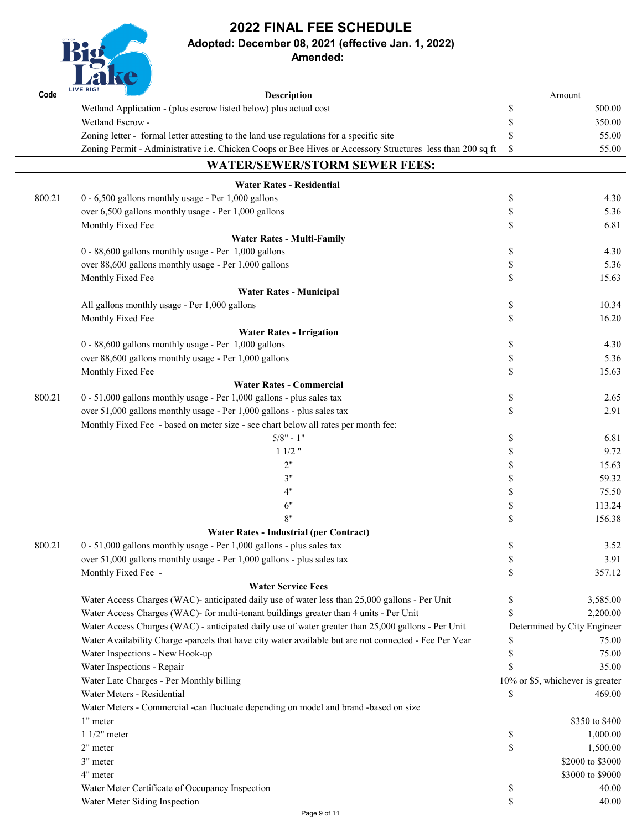**Adopted: December 08, 2021 (effective Jan. 1, 2022)**

**Amended:** 

Rig

|        | ZUNU<br><b>LIVE BIG!</b>                                                                                   |                           |                                  |
|--------|------------------------------------------------------------------------------------------------------------|---------------------------|----------------------------------|
| Code   | <b>Description</b>                                                                                         |                           | Amount                           |
|        | Wetland Application - (plus escrow listed below) plus actual cost                                          | \$                        | 500.00                           |
|        | Wetland Escrow -                                                                                           | $\boldsymbol{\mathsf{S}}$ | 350.00                           |
|        | Zoning letter - formal letter attesting to the land use regulations for a specific site                    | \$                        | 55.00                            |
|        | Zoning Permit - Administrative i.e. Chicken Coops or Bee Hives or Accessory Structures less than 200 sq ft | $\boldsymbol{\mathsf{S}}$ | 55.00                            |
|        | <b>WATER/SEWER/STORM SEWER FEES:</b>                                                                       |                           |                                  |
|        | <b>Water Rates - Residential</b>                                                                           |                           |                                  |
| 800.21 | 0 - 6,500 gallons monthly usage - Per 1,000 gallons                                                        | \$                        | 4.30                             |
|        | over 6,500 gallons monthly usage - Per 1,000 gallons                                                       | \$                        | 5.36                             |
|        | Monthly Fixed Fee                                                                                          | $\mathcal{S}$             | 6.81                             |
|        | <b>Water Rates - Multi-Family</b>                                                                          |                           |                                  |
|        | 0 - 88,600 gallons monthly usage - Per 1,000 gallons                                                       | \$                        | 4.30                             |
|        | over 88,600 gallons monthly usage - Per 1,000 gallons                                                      | \$                        | 5.36                             |
|        | Monthly Fixed Fee                                                                                          | $\mathcal{S}$             | 15.63                            |
|        | <b>Water Rates - Municipal</b>                                                                             |                           |                                  |
|        | All gallons monthly usage - Per 1,000 gallons                                                              | $\boldsymbol{\mathsf{S}}$ | 10.34                            |
|        | Monthly Fixed Fee                                                                                          | $\mathcal{S}$             | 16.20                            |
|        | <b>Water Rates - Irrigation</b>                                                                            |                           |                                  |
|        | $0 - 88,600$ gallons monthly usage - Per 1,000 gallons                                                     | \$                        | 4.30                             |
|        | over 88,600 gallons monthly usage - Per 1,000 gallons                                                      | \$                        | 5.36                             |
|        | Monthly Fixed Fee                                                                                          | \$                        | 15.63                            |
|        | <b>Water Rates - Commercial</b>                                                                            |                           |                                  |
| 800.21 | $0 - 51,000$ gallons monthly usage - Per 1,000 gallons - plus sales tax                                    | \$                        | 2.65                             |
|        | over 51,000 gallons monthly usage - Per 1,000 gallons - plus sales tax                                     | $\mathcal{S}$             | 2.91                             |
|        | Monthly Fixed Fee - based on meter size - see chart below all rates per month fee:                         |                           |                                  |
|        | $5/8" - 1"$                                                                                                | \$                        | 6.81                             |
|        | $11/2$ "                                                                                                   |                           | 9.72                             |
|        | 2"                                                                                                         | \$                        | 15.63                            |
|        | 3"                                                                                                         | \$                        | 59.32                            |
|        | 4"                                                                                                         | \$                        | 75.50                            |
|        | 6"                                                                                                         | \$                        | 113.24                           |
|        | 8"                                                                                                         | \$                        | 156.38                           |
|        | <b>Water Rates - Industrial (per Contract)</b>                                                             |                           |                                  |
| 800.21 | 0 - 51,000 gallons monthly usage - Per 1,000 gallons - plus sales tax                                      | \$                        | 3.52                             |
|        | over 51,000 gallons monthly usage - Per 1,000 gallons - plus sales tax                                     | \$                        | 3.91                             |
|        | Monthly Fixed Fee -                                                                                        | $\mathbb{S}$              | 357.12                           |
|        | <b>Water Service Fees</b>                                                                                  |                           |                                  |
|        | Water Access Charges (WAC)- anticipated daily use of water less than 25,000 gallons - Per Unit             | \$                        | 3,585.00                         |
|        | Water Access Charges (WAC)- for multi-tenant buildings greater than 4 units - Per Unit                     | $\mathbb{S}$              | 2,200.00                         |
|        | Water Access Charges (WAC) - anticipated daily use of water greater than 25,000 gallons - Per Unit         |                           | Determined by City Engineer      |
|        | Water Availability Charge -parcels that have city water available but are not connected - Fee Per Year     |                           | 75.00                            |
|        | Water Inspections - New Hook-up                                                                            |                           | 75.00                            |
|        | Water Inspections - Repair                                                                                 | \$                        | 35.00                            |
|        | Water Late Charges - Per Monthly billing                                                                   |                           | 10% or \$5, whichever is greater |
|        | Water Meters - Residential                                                                                 | \$                        | 469.00                           |
|        | Water Meters - Commercial -can fluctuate depending on model and brand -based on size                       |                           |                                  |
|        | 1" meter                                                                                                   |                           | \$350 to \$400                   |
|        |                                                                                                            |                           |                                  |
|        | $11/2$ " meter                                                                                             | $\boldsymbol{\mathsf{S}}$ | 1,000.00                         |
|        | 2" meter                                                                                                   | $\mathbb S$               | 1,500.00                         |
|        | 3" meter                                                                                                   |                           | \$2000 to \$3000                 |
|        | 4" meter                                                                                                   |                           | \$3000 to \$9000                 |
|        | Water Meter Certificate of Occupancy Inspection                                                            | $\boldsymbol{\mathsf{S}}$ | 40.00                            |
|        | Water Meter Siding Inspection                                                                              | \$                        | 40.00                            |

Page 9 of 11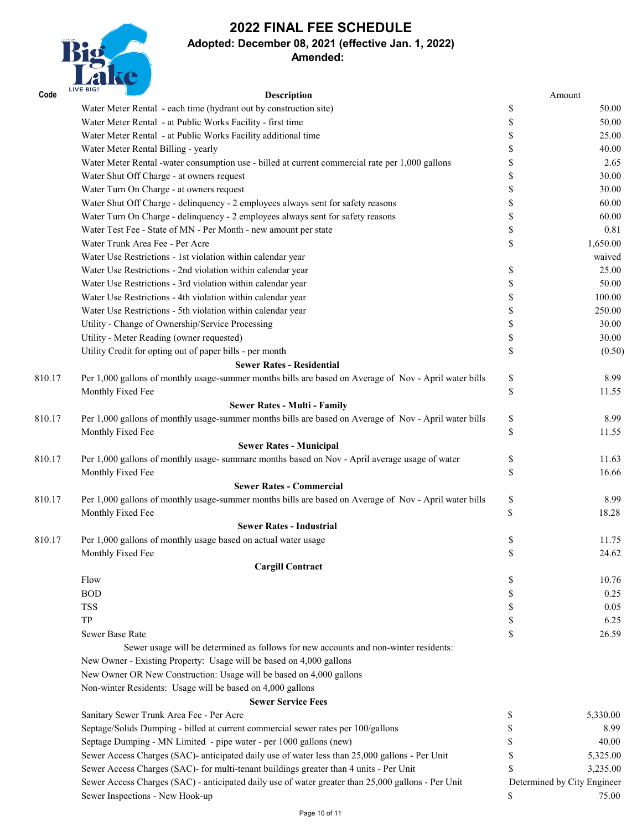

# **Adopted: December 08, 2021 (effective Jan. 1, 2022)**

#### **Amended:**

| Code   | <b>LIVE BIG!</b><br><b>Description</b>                                                                 |                           | Amount   |
|--------|--------------------------------------------------------------------------------------------------------|---------------------------|----------|
|        | Water Meter Rental - each time (hydrant out by construction site)                                      | $\boldsymbol{\mathsf{S}}$ | 50.00    |
|        | Water Meter Rental - at Public Works Facility - first time                                             | \$                        | 50.00    |
|        | Water Meter Rental - at Public Works Facility additional time                                          |                           | 25.00    |
|        | Water Meter Rental Billing - yearly                                                                    |                           | 40.00    |
|        | Water Meter Rental -water consumption use - billed at current commercial rate per 1,000 gallons        |                           | 2.65     |
|        | Water Shut Off Charge - at owners request                                                              |                           | 30.00    |
|        | Water Turn On Charge - at owners request                                                               |                           | 30.00    |
|        | Water Shut Off Charge - delinquency - 2 employees always sent for safety reasons                       |                           | 60.00    |
|        | Water Turn On Charge - delinquency - 2 employees always sent for safety reasons                        | \$                        | 60.00    |
|        | Water Test Fee - State of MN - Per Month - new amount per state                                        | $\mathcal{S}$             | 0.81     |
|        | Water Trunk Area Fee - Per Acre                                                                        | \$                        | 1,650.00 |
|        | Water Use Restrictions - 1st violation within calendar year                                            |                           | waived   |
|        | Water Use Restrictions - 2nd violation within calendar year                                            | \$                        | 25.00    |
|        | Water Use Restrictions - 3rd violation within calendar year                                            | \$                        | 50.00    |
|        | Water Use Restrictions - 4th violation within calendar year                                            | \$                        | 100.00   |
|        | Water Use Restrictions - 5th violation within calendar year                                            | \$                        | 250.00   |
|        | Utility - Change of Ownership/Service Processing                                                       | \$                        | 30.00    |
|        | Utility - Meter Reading (owner requested)                                                              | \$                        | 30.00    |
|        | Utility Credit for opting out of paper bills - per month                                               | $\boldsymbol{\mathsf{S}}$ | (0.50)   |
|        | <b>Sewer Rates - Residential</b>                                                                       |                           |          |
| 810.17 | Per 1,000 gallons of monthly usage-summer months bills are based on Average of Nov - April water bills | $\boldsymbol{\mathsf{S}}$ | 8.99     |
|        | Monthly Fixed Fee                                                                                      | \$                        | 11.55    |
|        | <b>Sewer Rates - Multi - Family</b>                                                                    |                           |          |
| 810.17 | Per 1,000 gallons of monthly usage-summer months bills are based on Average of Nov - April water bills | $\boldsymbol{\mathsf{S}}$ | 8.99     |
|        | Monthly Fixed Fee                                                                                      | $\$$                      | 11.55    |
|        | <b>Sewer Rates - Municipal</b>                                                                         |                           |          |
| 810.17 | Per 1,000 gallons of monthly usage- summare months based on Nov - April average usage of water         | $\boldsymbol{\mathsf{S}}$ | 11.63    |
|        | Monthly Fixed Fee                                                                                      | $\boldsymbol{\mathsf{S}}$ | 16.66    |
|        | <b>Sewer Rates - Commercial</b>                                                                        |                           |          |
| 810.17 | Per 1,000 gallons of monthly usage-summer months bills are based on Average of Nov - April water bills | $\boldsymbol{\mathsf{S}}$ | 8.99     |
|        | Monthly Fixed Fee                                                                                      | \$                        | 18.28    |
|        | <b>Sewer Rates - Industrial</b>                                                                        |                           |          |
| 810.17 | Per 1,000 gallons of monthly usage based on actual water usage                                         | $\boldsymbol{\mathsf{S}}$ | 11.75    |
|        | Monthly Fixed Fee                                                                                      | $\boldsymbol{\mathsf{S}}$ | 24.62    |
|        | <b>Cargill Contract</b>                                                                                |                           |          |
|        | Flow                                                                                                   | $\boldsymbol{\mathsf{S}}$ | 10.76    |
|        | <b>BOD</b>                                                                                             | \$                        | 0.25     |
|        | <b>TSS</b>                                                                                             | \$                        | 0.05     |

TP  $\qquad \qquad \text{S} \qquad \qquad 6.25$ 

Sewer Base Rate 26.59

Sewer usage will be determined as follows for new accounts and non-winter residents: New Owner - Existing Property: Usage will be based on 4,000 gallons New Owner OR New Construction: Usage will be based on 4,000 gallons Non-winter Residents: Usage will be based on 4,000 gallons **Sewer Service Fees** Sanitary Sewer Trunk Area Fee - Per Acre  $5,330.00$ Septage/Solids Dumping - billed at current commercial sewer rates per 100/gallons \$ 8.99 Septage Dumping - MN Limited - pipe water - per 1000 gallons (new) \$ 40.00 Sewer Access Charges (SAC)- anticipated daily use of water less than 25,000 gallons - Per Unit \$ 5,325.00 Sewer Access Charges (SAC)- for multi-tenant buildings greater than 4 units - Per Unit \$ 3,235.00 Sewer Access Charges (SAC) - anticipated daily use of water greater than 25,000 gallons - Per Unit Determined by City Engineer Sewer Inspections - New Hook-up 75.00